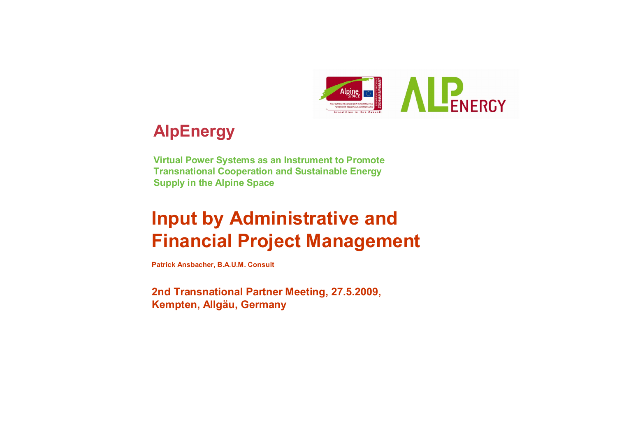

## **AlpEnergy**

**Virtual Power Systems as an Instrument to Promote Transnational Cooperation and Sustainable Energy Supply in the Alpine Space**

# **Input by Administrative and Financial Project Management**

**Patrick Ansbacher, B.A.U.M. Consult**

**2nd Transnational Partner Meeting, 27.5.2009, Kempten, Allgäu, Germany**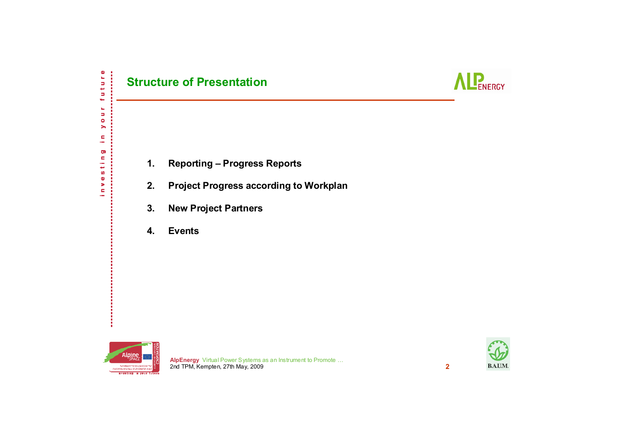



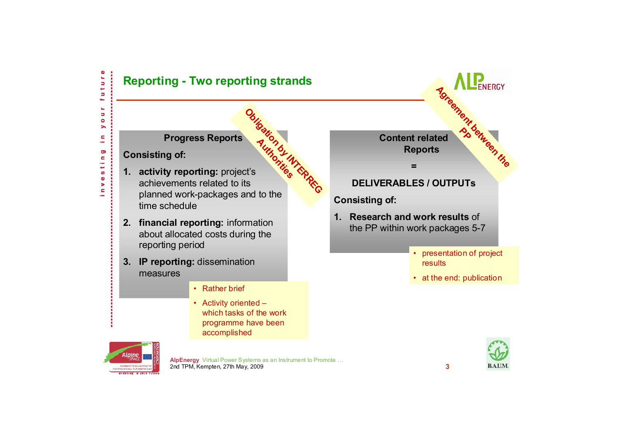

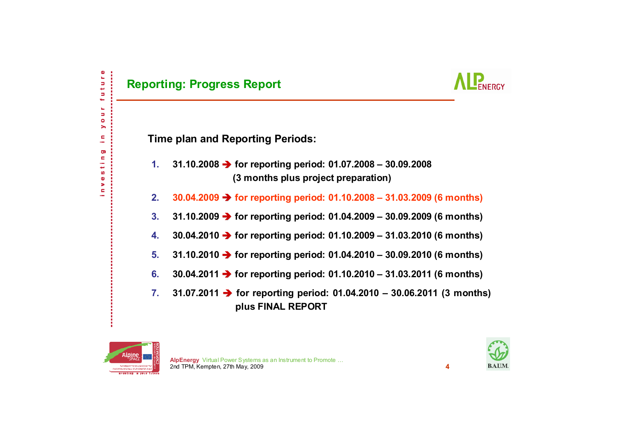

**Time plan and Reporting Periods:**

- **1. 31.10.2008** Î **for reporting period: 01.07.2008 – 30.09.2008 (3 months plus project preparation)**
- **2.30.04.2009** Î **for reporting period: 01.10.2008 – 31.03.2009 (6 months)**
- **3.31.10.2009** Î **for reporting period: 01.04.2009 – 30.09.2009 (6 months)**
- **4.30.04.2010** Î **for reporting period: 01.10.2009 – 31.03.2010 (6 months)**
- **5.31.10.2010** Î **for reporting period: 01.04.2010 – 30.09.2010 (6 months)**
- **6.30.04.2011** Î **for reporting period: 01.10.2010 – 31.03.2011 (6 months)**
- **7. 31.07.2011** Î **for reporting period: 01.04.2010 – 30.06.2011 (3 months) plus FINAL REPORT**



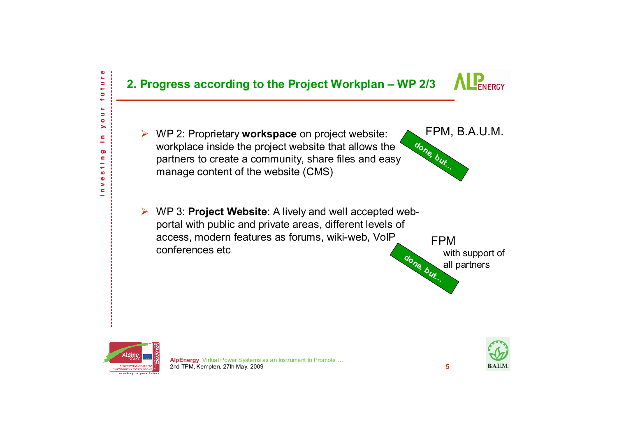



Б ĥ, Ь  $\bullet$ > c ÷ Ō)  $\blacksquare$ ÷ مها S  $\bullet$ > ċ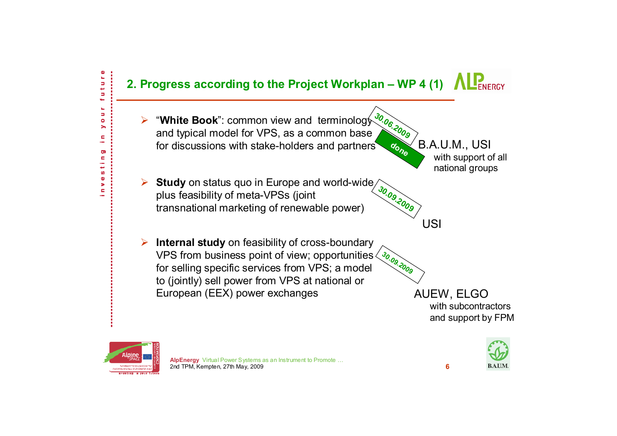

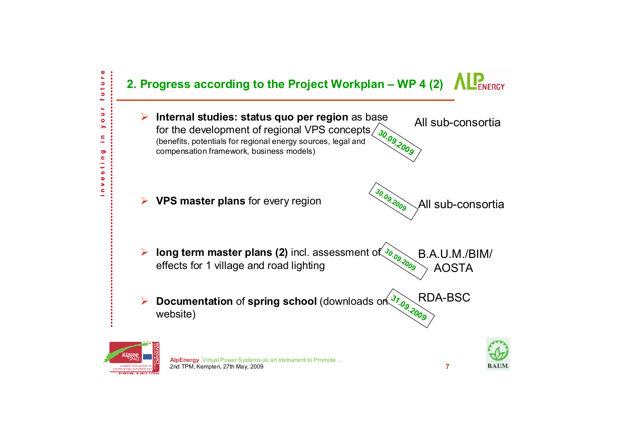



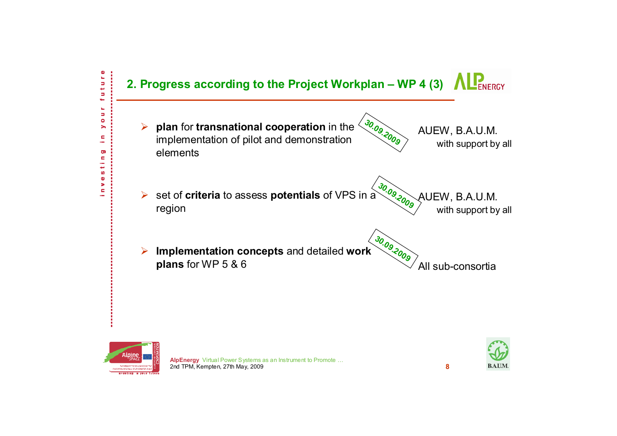

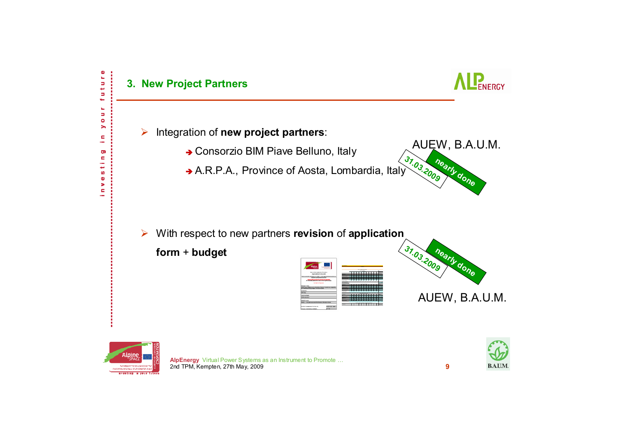

**BEAN DOCUMENT DEVELOPMENT** naustina a sacritular

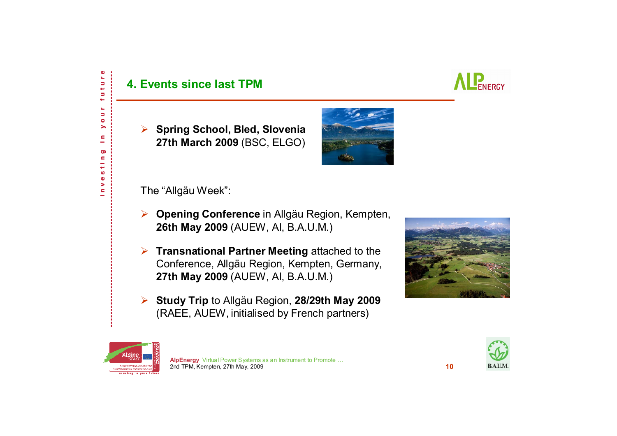#### **4. Events since last TPM**



¾ **Spring School, Bled, Slovenia 27th March 2009** (BSC, ELGO)



The "Allgäu Week":

- ¾ **Opening Conference** in Allgäu Region, Kempten, **26th May 2009** (AUEW, AI, B.A.U.M.)
- ¾ **Transnational Partner Meeting** attached to the Conference, Allgäu Region, Kempten, Germany, **27th May 2009** (AUEW, AI, B.A.U.M.)
- ¾ **Study Trip** to Allgäu Region, **28/29th May 2009** (RAEE, AUEW, initialised by French partners)





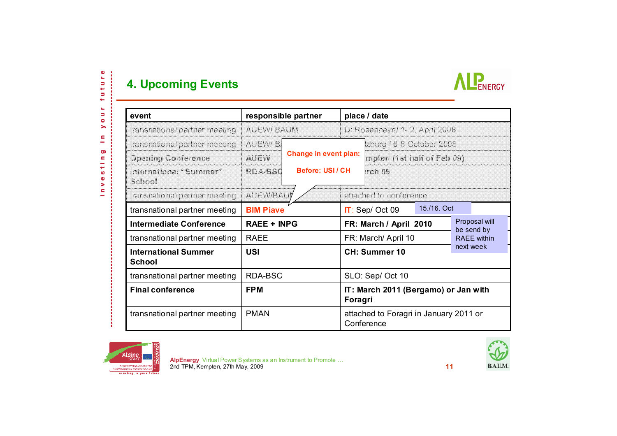### **4. Upcoming Events**

future j

o u r  $\blacktriangleright$ Ċ.  $\sim$ Ō)

investin



| event                                        | responsible partner |                                                  | place / date                                         |                               |  |                             |  |
|----------------------------------------------|---------------------|--------------------------------------------------|------------------------------------------------------|-------------------------------|--|-----------------------------|--|
| transnational partner meeting                | <b>AUEW/BAUM</b>    |                                                  | D: Rosenheim/ 1- 2. April 2008                       |                               |  |                             |  |
| transnational partner meeting                | AUEW/B              |                                                  |                                                      | zburg / 6-8 October 2008      |  |                             |  |
| <b>Opening Conference</b>                    | <b>AUEW</b>         | <b>Change in event plan:</b><br>Before: USI / CH |                                                      | mpten (1st half of Feb 09)    |  |                             |  |
| International "Summer"<br>School             | <b>RDA-BSC</b>      |                                                  |                                                      | rch 09                        |  |                             |  |
| transnational partner meeting                | <b>AUEW/BAUI</b>    |                                                  |                                                      | attached to conference        |  |                             |  |
| transnational partner meeting                | <b>BIM Piave</b>    |                                                  |                                                      | 15./16. Oct<br>IT: Sep/Oct 09 |  |                             |  |
| <b>Intermediate Conference</b>               | <b>RAEE + INPG</b>  |                                                  | FR: March / April 2010                               |                               |  | Proposal will<br>be send by |  |
| transnational partner meeting                | <b>RAEE</b>         |                                                  | FR: March/ April 10                                  |                               |  | <b>RAFF</b> within          |  |
| <b>International Summer</b><br><b>School</b> | <b>USI</b>          |                                                  | next week<br><b>CH: Summer 10</b>                    |                               |  |                             |  |
| transnational partner meeting                | RDA-BSC             |                                                  | SLO: Sep/ Oct 10                                     |                               |  |                             |  |
| <b>Final conference</b>                      | <b>FPM</b>          |                                                  | IT: March 2011 (Bergamo) or Jan with<br>Foragri      |                               |  |                             |  |
| transnational partner meeting                | <b>PMAN</b>         |                                                  | attached to Foragri in January 2011 or<br>Conference |                               |  |                             |  |